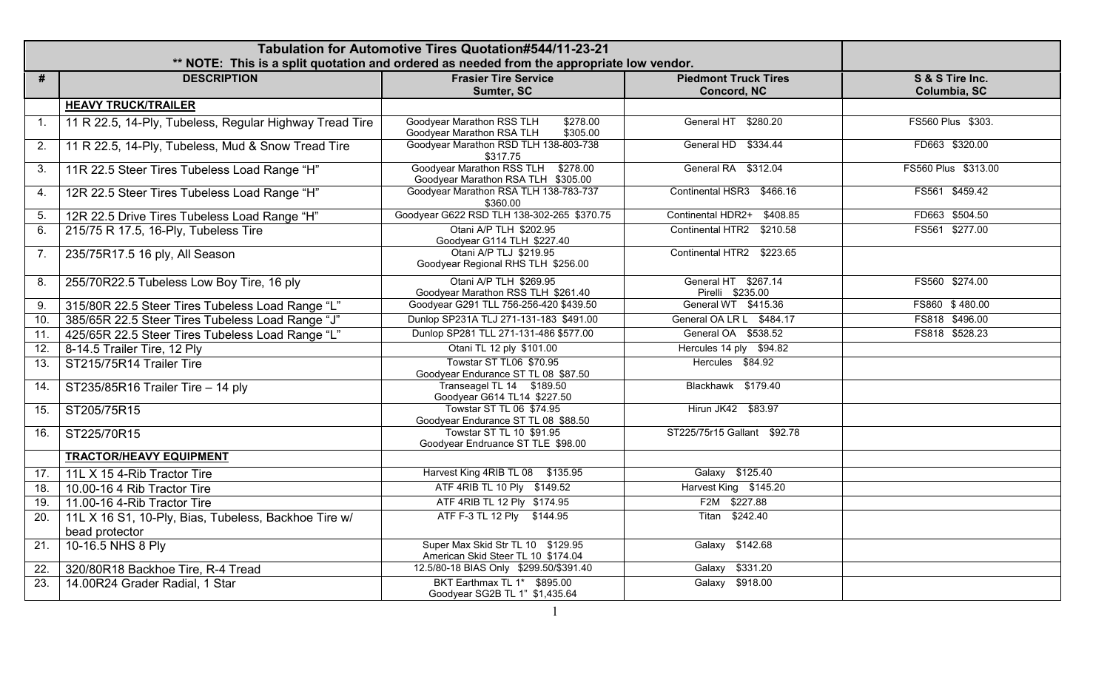|                   |                                                                        | Tabulation for Automotive Tires Quotation#544/11-23-21<br>** NOTE: This is a split quotation and ordered as needed from the appropriate low vendor. |                                                   |                                 |
|-------------------|------------------------------------------------------------------------|-----------------------------------------------------------------------------------------------------------------------------------------------------|---------------------------------------------------|---------------------------------|
| #                 | <b>DESCRIPTION</b>                                                     | <b>Frasier Tire Service</b><br>Sumter, SC                                                                                                           | <b>Piedmont Truck Tires</b><br><b>Concord, NC</b> | S & S Tire Inc.<br>Columbia, SC |
|                   | <b>HEAVY TRUCK/TRAILER</b>                                             |                                                                                                                                                     |                                                   |                                 |
| $\mathbf{1}$ .    | 11 R 22.5, 14-Ply, Tubeless, Regular Highway Tread Tire                | Goodyear Marathon RSS TLH<br>\$278.00<br>Goodyear Marathon RSA TLH<br>\$305.00                                                                      | General HT \$280.20                               | FS560 Plus \$303.               |
| 2.                | 11 R 22.5, 14-Ply, Tubeless, Mud & Snow Tread Tire                     | Goodyear Marathon RSD TLH 138-803-738<br>\$317.75                                                                                                   | General HD \$334.44                               | FD663 \$320.00                  |
| 3.                | 11R 22.5 Steer Tires Tubeless Load Range "H"                           | Goodyear Marathon RSS TLH \$278.00<br>Goodyear Marathon RSA TLH \$305.00                                                                            | General RA \$312.04                               | FS560 Plus \$313.00             |
| 4.                | 12R 22.5 Steer Tires Tubeless Load Range "H"                           | Goodyear Marathon RSA TLH 138-783-737<br>\$360.00                                                                                                   | Continental HSR3 \$466.16                         | FS561 \$459.42                  |
| 5.                | 12R 22.5 Drive Tires Tubeless Load Range "H"                           | Goodyear G622 RSD TLH 138-302-265 \$370.75                                                                                                          | Continental HDR2+ \$408.85                        | FD663 \$504.50                  |
| 6.                | 215/75 R 17.5, 16-Ply, Tubeless Tire                                   | Otani A/P TLH \$202.95<br>Goodyear G114 TLH \$227.40                                                                                                | Continental HTR2 \$210.58                         | FS561 \$277.00                  |
| 7.                | 235/75R17.5 16 ply, All Season                                         | Otani A/P TLJ \$219.95<br>Goodyear Regional RHS TLH \$256.00                                                                                        | Continental HTR2 \$223.65                         |                                 |
| 8.                | 255/70R22.5 Tubeless Low Boy Tire, 16 ply                              | Otani A/P TLH \$269.95<br>Goodyear Marathon RSS TLH \$261.40                                                                                        | General HT \$267.14<br>Pirelli \$235.00           | FS560 \$274.00                  |
| 9.                | 315/80R 22.5 Steer Tires Tubeless Load Range "L"                       | Goodyear G291 TLL 756-256-420 \$439.50                                                                                                              | General WT \$415.36                               | FS860 \$480.00                  |
| 10.               | 385/65R 22.5 Steer Tires Tubeless Load Range "J"                       | Dunlop SP231A TLJ 271-131-183 \$491.00                                                                                                              | General OA LR L \$484.17                          | FS818 \$496.00                  |
| 11.               | 425/65R 22.5 Steer Tires Tubeless Load Range "L"                       | Dunlop SP281 TLL 271-131-486 \$577.00                                                                                                               | General OA \$538.52                               | FS818 \$528.23                  |
| 12.               | 8-14.5 Trailer Tire, 12 Ply                                            | Otani TL 12 ply \$101.00                                                                                                                            | Hercules 14 ply \$94.82                           |                                 |
| 13.               | ST215/75R14 Trailer Tire                                               | Towstar ST TL06 \$70.95<br>Goodyear Endurance ST TL 08 \$87.50                                                                                      | Hercules \$84.92                                  |                                 |
| 14.               | ST235/85R16 Trailer Tire - 14 ply                                      | Transeagel TL 14 \$189.50<br>Goodyear G614 TL14 \$227.50                                                                                            | Blackhawk \$179.40                                |                                 |
| 15.               | ST205/75R15                                                            | Towstar ST TL 06 \$74.95<br>Goodyear Endurance ST TL 08 \$88.50                                                                                     | Hirun JK42 \$83.97                                |                                 |
| 16.               | ST225/70R15                                                            | Towstar ST TL 10 \$91.95<br>Goodyear Endruance ST TLE \$98.00                                                                                       | ST225/75r15 Gallant \$92.78                       |                                 |
|                   | <b>TRACTOR/HEAVY EQUIPMENT</b>                                         |                                                                                                                                                     |                                                   |                                 |
| 17.               | 11L X 15 4-Rib Tractor Tire                                            | Harvest King 4RIB TL 08 \$135.95                                                                                                                    | Galaxy \$125.40                                   |                                 |
| 18.               | 10.00-16 4 Rib Tractor Tire                                            | ATF 4RIB TL 10 Ply \$149.52                                                                                                                         | Harvest King \$145.20                             |                                 |
| 19.               | 11.00-16 4-Rib Tractor Tire                                            | ATF 4RIB TL 12 Ply \$174.95                                                                                                                         | F2M \$227.88                                      |                                 |
| 20.               | 11L X 16 S1, 10-Ply, Bias, Tubeless, Backhoe Tire w/<br>bead protector | ATF F-3 TL 12 Ply \$144.95                                                                                                                          | Titan \$242.40                                    |                                 |
| $\overline{21}$ . | 10-16.5 NHS 8 Ply                                                      | Super Max Skid Str TL 10 \$129.95<br>American Skid Steer TL 10 \$174.04                                                                             | Galaxy \$142.68                                   |                                 |
| $\overline{22}$ . | 320/80R18 Backhoe Tire, R-4 Tread                                      | 12.5/80-18 BIAS Only \$299.50/\$391.40                                                                                                              | Galaxy \$331.20                                   |                                 |
| 23.               | 14.00R24 Grader Radial, 1 Star                                         | BKT Earthmax TL 1* \$895.00<br>Goodyear SG2B TL 1" \$1,435.64                                                                                       | Galaxy \$918.00                                   |                                 |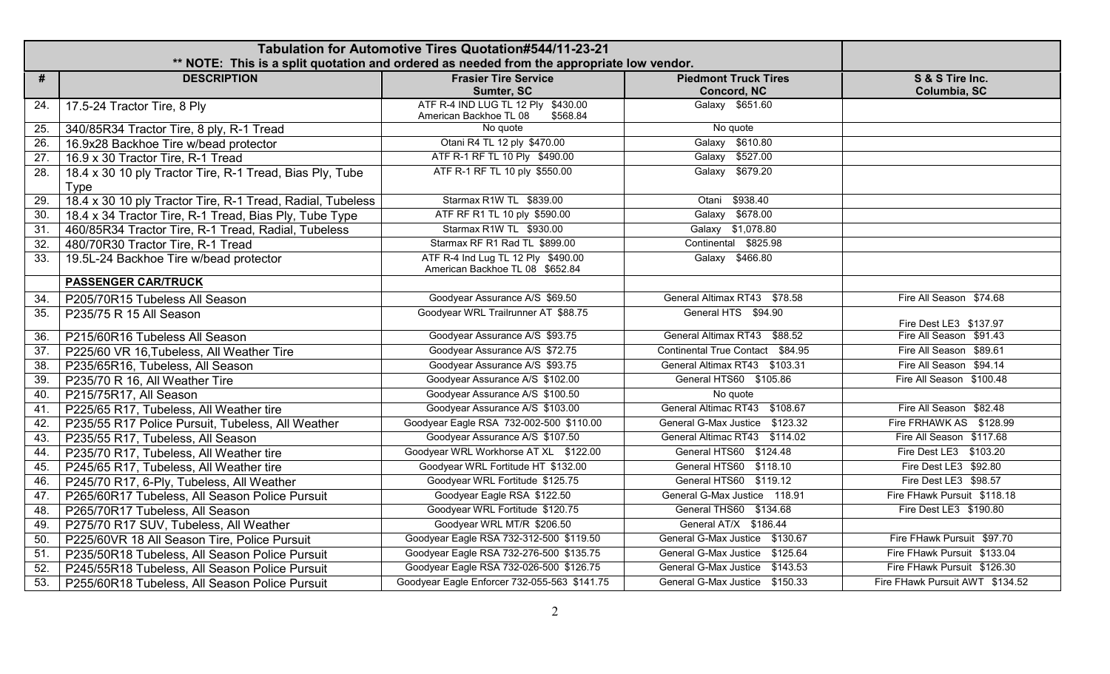|                   |                                                                         | Tabulation for Automotive Tires Quotation#544/11-23-21<br>** NOTE: This is a split quotation and ordered as needed from the appropriate low vendor. |                                   |                                 |
|-------------------|-------------------------------------------------------------------------|-----------------------------------------------------------------------------------------------------------------------------------------------------|-----------------------------------|---------------------------------|
| #                 | <b>DESCRIPTION</b>                                                      | <b>Frasier Tire Service</b>                                                                                                                         | <b>Piedmont Truck Tires</b>       | S & S Tire Inc.                 |
|                   |                                                                         | Sumter, SC                                                                                                                                          | Concord, NC                       | Columbia, SC                    |
| 24.               | 17.5-24 Tractor Tire, 8 Ply                                             | ATF R-4 IND LUG TL 12 Ply \$430.00<br>American Backhoe TL 08<br>\$568.84                                                                            | Galaxy \$651.60                   |                                 |
| 25.               | 340/85R34 Tractor Tire, 8 ply, R-1 Tread                                | No quote                                                                                                                                            | No quote                          |                                 |
| 26.               | 16.9x28 Backhoe Tire w/bead protector                                   | Otani R4 TL 12 ply \$470.00                                                                                                                         | Galaxy \$610.80                   |                                 |
| $\overline{27}$ . | 16.9 x 30 Tractor Tire, R-1 Tread                                       | ATF R-1 RF TL 10 Ply \$490.00                                                                                                                       | \$527.00<br>Galaxy                |                                 |
| 28.               | 18.4 x 30 10 ply Tractor Tire, R-1 Tread, Bias Ply, Tube<br><b>Type</b> | ATF R-1 RF TL 10 ply \$550.00                                                                                                                       | Galaxy \$679.20                   |                                 |
| 29.               | 18.4 x 30 10 ply Tractor Tire, R-1 Tread, Radial, Tubeless              | Starmax R1W TL \$839.00                                                                                                                             | Otani \$938.40                    |                                 |
| 30.               | 18.4 x 34 Tractor Tire, R-1 Tread, Bias Ply, Tube Type                  | ATF RF R1 TL 10 ply \$590.00                                                                                                                        | Galaxy \$678.00                   |                                 |
| 31.               | 460/85R34 Tractor Tire, R-1 Tread, Radial, Tubeless                     | Starmax R1W TL \$930.00                                                                                                                             | Galaxy \$1,078.80                 |                                 |
| 32.               | 480/70R30 Tractor Tire, R-1 Tread                                       | Starmax RF R1 Rad TL \$899.00                                                                                                                       | Continental \$825.98              |                                 |
| 33.               | 19.5L-24 Backhoe Tire w/bead protector                                  | ATF R-4 Ind Lug TL 12 Ply \$490.00<br>American Backhoe TL 08 \$652.84                                                                               | Galaxy \$466.80                   |                                 |
|                   | <b>PASSENGER CAR/TRUCK</b>                                              |                                                                                                                                                     |                                   |                                 |
| 34.               | P205/70R15 Tubeless All Season                                          | Goodyear Assurance A/S \$69.50                                                                                                                      | General Altimax RT43 \$78.58      | Fire All Season \$74.68         |
| 35.               | P235/75 R 15 All Season                                                 | Goodyear WRL Trailrunner AT \$88.75                                                                                                                 | General HTS \$94.90               | Fire Dest LE3 \$137.97          |
| 36.               | P215/60R16 Tubeless All Season                                          | Goodyear Assurance A/S \$93.75                                                                                                                      | General Altimax RT43 \$88.52      | Fire All Season \$91.43         |
| $\overline{37}$ . | P225/60 VR 16, Tubeless, All Weather Tire                               | Goodyear Assurance A/S \$72.75                                                                                                                      | Continental True Contact \$84.95  | Fire All Season \$89.61         |
| 38.               | P235/65R16, Tubeless, All Season                                        | Goodyear Assurance A/S \$93.75                                                                                                                      | General Altimax RT43 \$103.31     | Fire All Season \$94.14         |
| 39.               | P235/70 R 16, All Weather Tire                                          | Goodyear Assurance A/S \$102.00                                                                                                                     | General HTS60 \$105.86            | Fire All Season \$100.48        |
| 40.               | P215/75R17, All Season                                                  | Goodyear Assurance A/S \$100.50                                                                                                                     | No quote                          |                                 |
| 41.               | P225/65 R17, Tubeless, All Weather tire                                 | Goodyear Assurance A/S \$103.00                                                                                                                     | General Altimac RT43 \$108.67     | Fire All Season \$82.48         |
| 42.               | P235/55 R17 Police Pursuit, Tubeless, All Weather                       | Goodyear Eagle RSA 732-002-500 \$110.00                                                                                                             | General G-Max Justice \$123.32    | Fire FRHAWK AS \$128.99         |
| 43.               | P235/55 R17, Tubeless, All Season                                       | Goodyear Assurance A/S \$107.50                                                                                                                     | General Altimac RT43 \$114.02     | Fire All Season \$117.68        |
| 44.               | P235/70 R17, Tubeless, All Weather tire                                 | Goodyear WRL Workhorse AT XL \$122.00                                                                                                               | General HTS60 \$124.48            | Fire Dest LE3 \$103.20          |
| 45.               | P245/65 R17, Tubeless, All Weather tire                                 | Goodyear WRL Fortitude HT \$132.00                                                                                                                  | General HTS60 \$118.10            | Fire Dest LE3 \$92.80           |
| 46.               | P245/70 R17, 6-Ply, Tubeless, All Weather                               | Goodyear WRL Fortitude \$125.75                                                                                                                     | General HTS60 \$119.12            | Fire Dest LE3 \$98.57           |
| 47.               | P265/60R17 Tubeless, All Season Police Pursuit                          | Goodyear Eagle RSA \$122.50                                                                                                                         | General G-Max Justice 118.91      | Fire FHawk Pursuit \$118.18     |
| 48.               | P265/70R17 Tubeless, All Season                                         | Goodyear WRL Fortitude \$120.75                                                                                                                     | General THS60 \$134.68            | Fire Dest LE3 \$190.80          |
| 49.               | P275/70 R17 SUV, Tubeless, All Weather                                  | Goodyear WRL MT/R \$206.50                                                                                                                          | General AT/X \$186.44             |                                 |
| 50.               | P225/60VR 18 All Season Tire, Police Pursuit                            | Goodyear Eagle RSA 732-312-500 \$119.50                                                                                                             | General G-Max Justice \$130.67    | Fire FHawk Pursuit \$97.70      |
| 51.               | P235/50R18 Tubeless, All Season Police Pursuit                          | Goodyear Eagle RSA 732-276-500 \$135.75                                                                                                             | \$125.64<br>General G-Max Justice | Fire FHawk Pursuit \$133.04     |
| 52.               | P245/55R18 Tubeless, All Season Police Pursuit                          | Goodyear Eagle RSA 732-026-500 \$126.75                                                                                                             | \$143.53<br>General G-Max Justice | Fire FHawk Pursuit \$126.30     |
| 53.               | P255/60R18 Tubeless, All Season Police Pursuit                          | Goodyear Eagle Enforcer 732-055-563 \$141.75                                                                                                        | General G-Max Justice \$150.33    | Fire FHawk Pursuit AWT \$134.52 |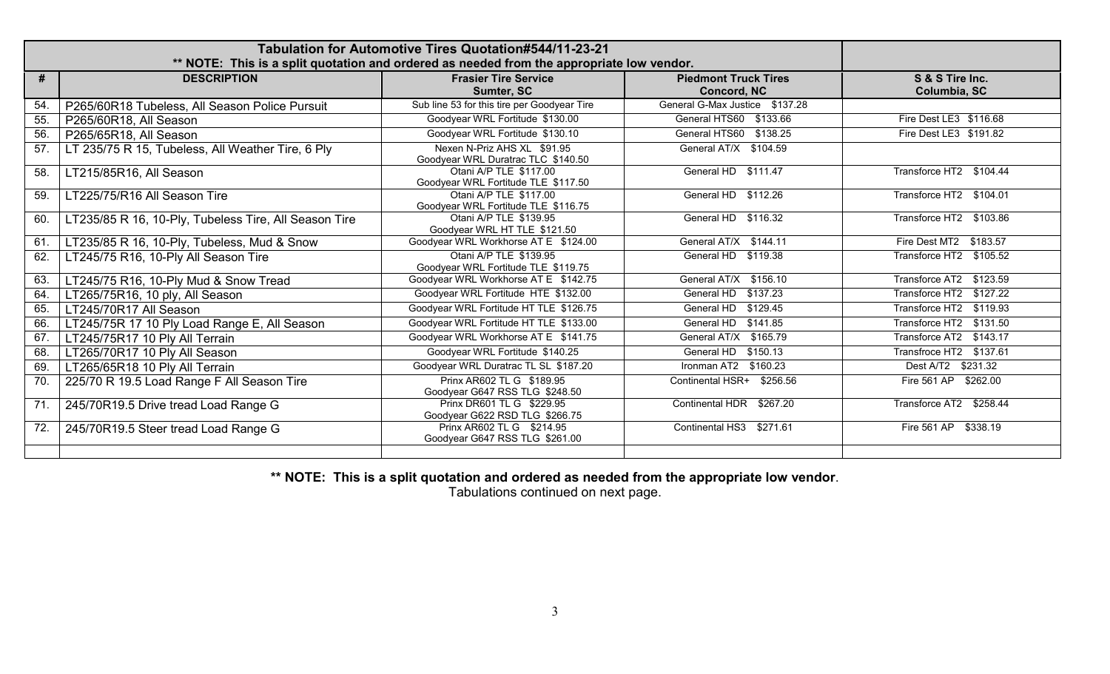| Tabulation for Automotive Tires Quotation#544/11-23-21<br>** NOTE: This is a split quotation and ordered as needed from the appropriate low vendor. |                                                       |                                                                   |                                                   |                                 |
|-----------------------------------------------------------------------------------------------------------------------------------------------------|-------------------------------------------------------|-------------------------------------------------------------------|---------------------------------------------------|---------------------------------|
| #                                                                                                                                                   | <b>DESCRIPTION</b>                                    | <b>Frasier Tire Service</b><br>Sumter, SC                         | <b>Piedmont Truck Tires</b><br><b>Concord, NC</b> | S & S Tire Inc.<br>Columbia, SC |
| 54.                                                                                                                                                 | P265/60R18 Tubeless, All Season Police Pursuit        | Sub line 53 for this tire per Goodyear Tire                       | General G-Max Justice \$137.28                    |                                 |
| 55.                                                                                                                                                 | P265/60R18, All Season                                | Goodyear WRL Fortitude \$130.00                                   | General HTS60 \$133.66                            | Fire Dest LE3 \$116.68          |
| 56.                                                                                                                                                 | P265/65R18, All Season                                | Goodyear WRL Fortitude \$130.10                                   | General HTS60 \$138.25                            | Fire Dest LE3 \$191.82          |
| 57.                                                                                                                                                 | LT 235/75 R 15, Tubeless, All Weather Tire, 6 Ply     | Nexen N-Priz AHS XL \$91.95<br>Goodyear WRL Duratrac TLC \$140.50 | General AT/X \$104.59                             |                                 |
| 58.                                                                                                                                                 | LT215/85R16, All Season                               | Otani A/P TLE \$117.00<br>Goodyear WRL Fortitude TLE \$117.50     | General HD \$111.47                               | Transforce HT2 \$104.44         |
| 59.                                                                                                                                                 | LT225/75/R16 All Season Tire                          | Otani A/P TLE \$117.00<br>Goodyear WRL Fortitude TLE \$116.75     | General HD \$112.26                               | Transforce HT2 \$104.01         |
| 60.                                                                                                                                                 | LT235/85 R 16, 10-Ply, Tubeless Tire, All Season Tire | Otani A/P TLE \$139.95<br>Goodyear WRL HT TLE \$121.50            | General HD \$116.32                               | Transforce HT2 \$103.86         |
| 61.                                                                                                                                                 | LT235/85 R 16, 10-Ply, Tubeless, Mud & Snow           | Goodyear WRL Workhorse AT E \$124.00                              | General AT/X \$144.11                             | Fire Dest MT2 \$183.57          |
| 62.                                                                                                                                                 | LT245/75 R16, 10-Ply All Season Tire                  | Otani A/P TLE \$139.95<br>Goodyear WRL Fortitude TLE \$119.75     | General HD \$119.38                               | Transforce HT2 \$105.52         |
| 63.                                                                                                                                                 | LT245/75 R16, 10-Ply Mud & Snow Tread                 | Goodyear WRL Workhorse AT E \$142.75                              | General AT/X \$156.10                             | Transforce AT2 \$123.59         |
| 64.                                                                                                                                                 | LT265/75R16, 10 ply, All Season                       | Goodyear WRL Fortitude HTE \$132.00                               | General HD \$137.23                               | Transforce HT2 \$127.22         |
| 65.                                                                                                                                                 | LT245/70R17 All Season                                | Goodyear WRL Fortitude HT TLE \$126.75                            | General HD \$129.45                               | Transforce HT2 \$119.93         |
| 66.                                                                                                                                                 | LT245/75R 17 10 Ply Load Range E, All Season          | Goodyear WRL Fortitude HT TLE \$133.00                            | General HD $$1\overline{41.85}$                   | Transforce HT2 \$131.50         |
| 67.                                                                                                                                                 | LT245/75R17 10 Ply All Terrain                        | Goodyear WRL Workhorse AT E \$141.75                              | General AT/X \$165.79                             | Transforce AT2 \$143.17         |
| 68.                                                                                                                                                 | LT265/70R17 10 Ply All Season                         | Goodyear WRL Fortitude \$140.25                                   | General HD \$150.13                               | Transfroce HT2 \$137.61         |
| 69.                                                                                                                                                 | LT265/65R18 10 Ply All Terrain                        | Goodyear WRL Duratrac TL SL \$187.20                              | Ironman AT2 \$160.23                              | Dest A/T2 \$231.32              |
| 70.                                                                                                                                                 | 225/70 R 19.5 Load Range F All Season Tire            | Prinx AR602 TL G \$189.95<br>Goodyear G647 RSS TLG \$248.50       | Continental HSR+ \$256.56                         | Fire 561 AP \$262.00            |
| 71.                                                                                                                                                 | 245/70R19.5 Drive tread Load Range G                  | Prinx DR601 TL G \$229.95<br>Goodyear G622 RSD TLG \$266.75       | Continental HDR \$267.20                          | Transforce AT2 \$258.44         |
| 72.                                                                                                                                                 | 245/70R19.5 Steer tread Load Range G                  | Prinx AR602 TL G \$214.95<br>Goodyear G647 RSS TLG \$261.00       | Continental HS3 \$271.61                          | Fire 561 AP \$338.19            |
|                                                                                                                                                     |                                                       |                                                                   |                                                   |                                 |

**\*\* NOTE: This is a split quotation and ordered as needed from the appropriate low vendor**.

Tabulations continued on next page.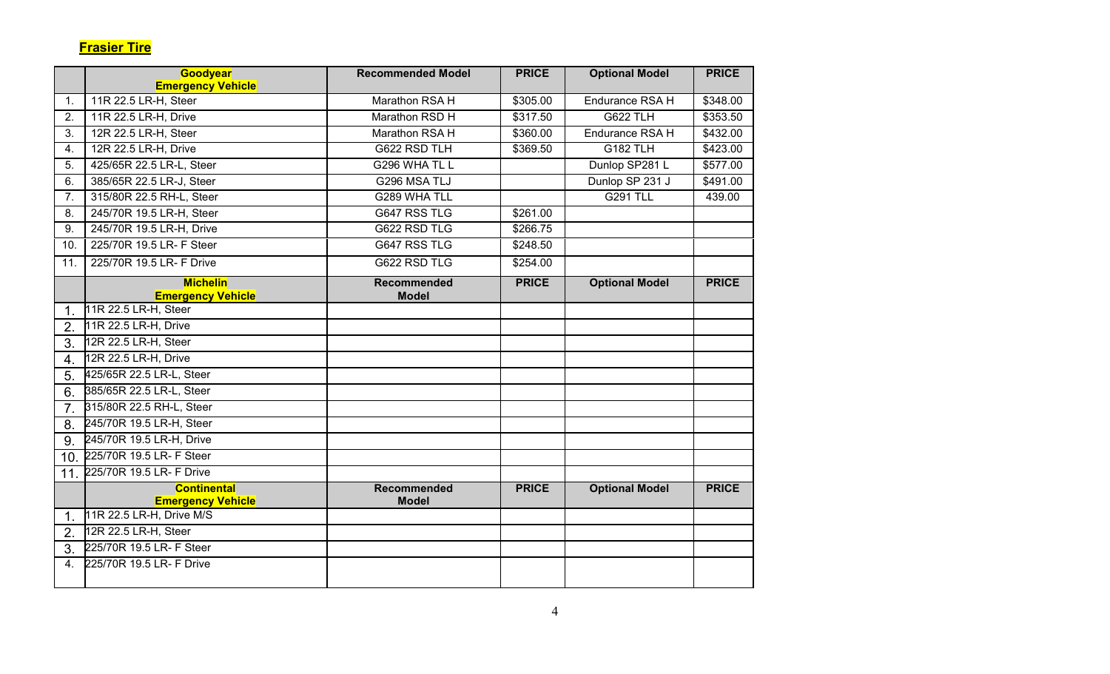|                  | Goodyear                                             | <b>Recommended Model</b> | <b>PRICE</b> | <b>Optional Model</b> | <b>PRICE</b> |
|------------------|------------------------------------------------------|--------------------------|--------------|-----------------------|--------------|
|                  | <b>Emergency Vehicle</b>                             |                          |              |                       |              |
| $\mathbf{1}$ .   | 11R 22.5 LR-H, Steer                                 | Marathon RSA H           | \$305.00     | Endurance RSA H       | \$348.00     |
| $\overline{2}$ . | 11R 22.5 LR-H, Drive                                 | Marathon RSD H           | \$317.50     | <b>G622 TLH</b>       | \$353.50     |
| 3.               | 12R 22.5 LR-H, Steer                                 | Marathon RSA H           | \$360.00     | Endurance RSA H       | \$432.00     |
| 4.               | 12R 22.5 LR-H, Drive                                 | G622 RSD TLH             | \$369.50     | <b>G182 TLH</b>       | \$423.00     |
| 5.               | 425/65R 22.5 LR-L, Steer                             | G296 WHA TL L            |              | Dunlop SP281 L        | \$577.00     |
| 6.               | 385/65R 22.5 LR-J, Steer                             | G296 MSA TLJ             |              | Dunlop SP 231 J       | \$491.00     |
| 7.               | 315/80R 22.5 RH-L, Steer                             | G289 WHA TLL             |              | <b>G291 TLL</b>       | 439.00       |
| 8.               | 245/70R 19.5 LR-H, Steer                             | G647 RSS TLG             | \$261.00     |                       |              |
| 9.               | 245/70R 19.5 LR-H, Drive                             | G622 RSD TLG             | \$266.75     |                       |              |
| 10.              | 225/70R 19.5 LR- F Steer                             | G647 RSS TLG             | \$248.50     |                       |              |
| 11.              | 225/70R 19.5 LR- F Drive                             | G622 RSD TLG             | \$254.00     |                       |              |
|                  | <b>Michelin</b>                                      | <b>Recommended</b>       | <b>PRICE</b> | <b>Optional Model</b> | <b>PRICE</b> |
|                  | <b>Emergency Vehicle</b><br>11R 22.5 LR-H, Steer     | <b>Model</b>             |              |                       |              |
| 1 <sub>1</sub>   |                                                      |                          |              |                       |              |
| 2.               | 11R 22.5 LR-H, Drive                                 |                          |              |                       |              |
| 3.               | 12R 22.5 LR-H, Steer                                 |                          |              |                       |              |
| 4.               | 12R 22.5 LR-H, Drive                                 |                          |              |                       |              |
| 5.               | 425/65R 22.5 LR-L, Steer                             |                          |              |                       |              |
| 6.               | 385/65R 22.5 LR-L, Steer                             |                          |              |                       |              |
| 7 <sub>1</sub>   | 315/80R 22.5 RH-L, Steer                             |                          |              |                       |              |
| 8.               | 245/70R 19.5 LR-H, Steer                             |                          |              |                       |              |
| 9.               | 245/70R 19.5 LR-H, Drive                             |                          |              |                       |              |
|                  | 10. 225/70R 19.5 LR- F Steer                         |                          |              |                       |              |
|                  | 11. 225/70R 19.5 LR- F Drive                         |                          |              |                       |              |
|                  | <b>Continental</b>                                   | Recommended              | <b>PRICE</b> | <b>Optional Model</b> | <b>PRICE</b> |
| $\mathbf{1}$ .   | <b>Emergency Vehicle</b><br>11R 22.5 LR-H, Drive M/S | <b>Model</b>             |              |                       |              |
| 2.               | 12R 22.5 LR-H, Steer                                 |                          |              |                       |              |
|                  | 225/70R 19.5 LR- F Steer                             |                          |              |                       |              |
| 3.               |                                                      |                          |              |                       |              |
| 4.               | 225/70R 19.5 LR- F Drive                             |                          |              |                       |              |
|                  |                                                      |                          |              |                       |              |